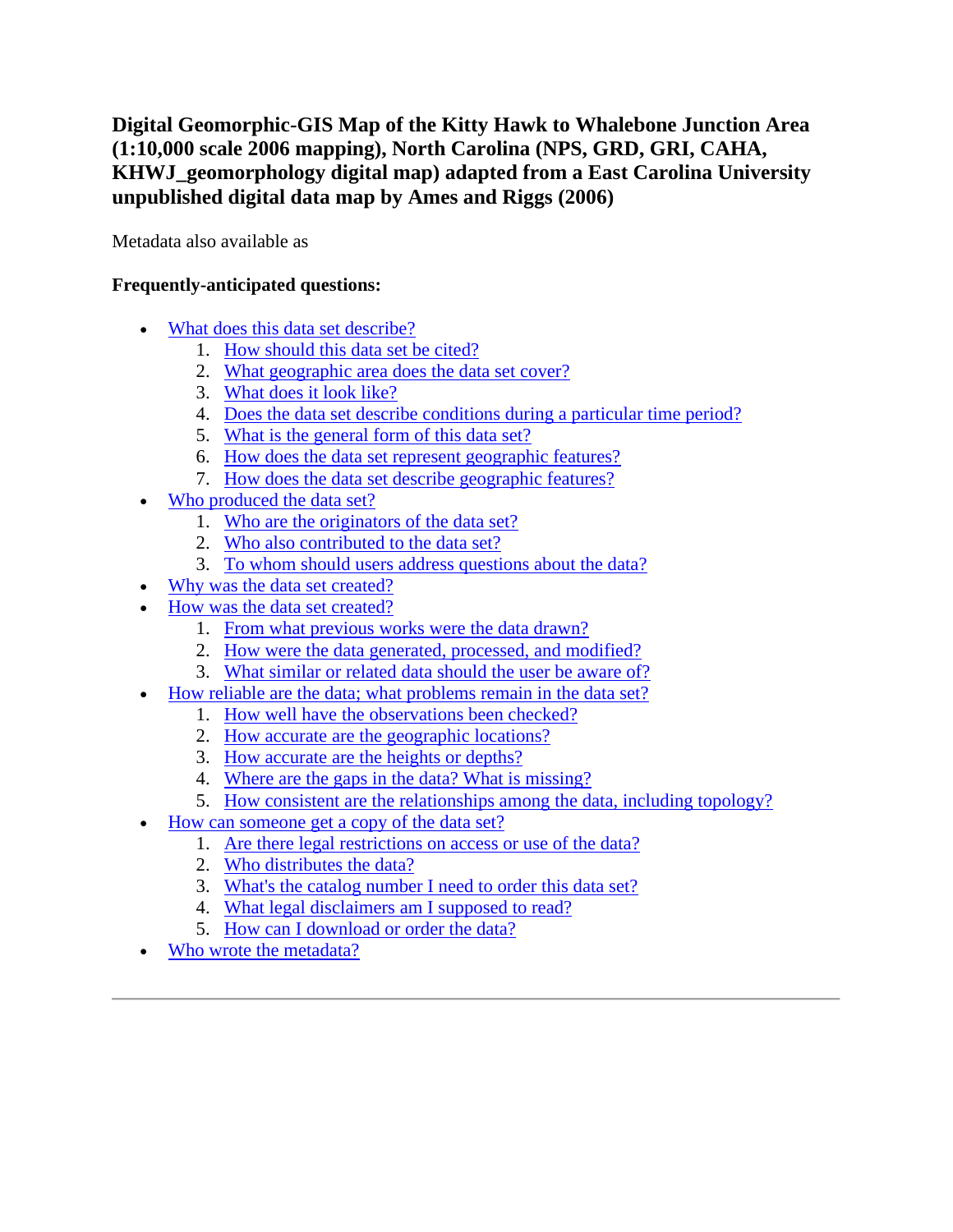# **Digital Geomorphic-GIS Map of the Kitty Hawk to Whalebone Junction Area (1:10,000 scale 2006 mapping), North Carolina (NPS, GRD, GRI, CAHA, KHWJ\_geomorphology digital map) adapted from a East Carolina University unpublished digital data map by Ames and Riggs (2006)**

Metadata also available as

## **Frequently-anticipated questions:**

- [What does this data set describe?](#page-0-0)
	- 1. [How should this data set be cited?](#page-2-0)
	- 2. [What geographic area does the](#page-2-1) data set cover?
	- 3. [What does it look like?](#page-2-2)
	- 4. [Does the data set describe conditions during a particular time period?](#page-2-3)
	- 5. [What is the general form of this data set?](#page-2-4)
	- 6. [How does the data set represent geographic features?](#page-2-5)
	- 7. [How does the data set describe geographic features?](#page-3-0)
- [Who produced the data set?](#page-3-1)
	- 1. [Who are the originators of the data set?](#page-3-2)
	- 2. [Who also contributed to the data set?](#page-3-3)
	- 3. [To whom should users address questions about the data?](#page-3-4)
- [Why was the data set created?](#page-4-0)
- [How was the data set created?](#page-4-1)
	- 1. [From what previous works were the data drawn?](#page-4-2)
	- 2. [How were the data generated, processed, and modified?](#page-4-3)
	- 3. [What similar or related data should the user be aware of?](#page-5-0)
- [How reliable are the data; what problems remain in the data set?](#page-6-0)
	- 1. [How well have the observations been checked?](#page-6-1)
	- 2. [How accurate are the geographic locations?](#page-6-2)
	- 3. [How accurate are the heights or depths?](#page-6-3)
	- 4. [Where are the gaps in the data? What is missing?](#page-6-4)
	- 5. [How consistent are the relationships among the data, including topology?](#page-6-5)
- [How can someone get a copy of the data set?](#page-6-6)
	- 1. [Are there legal restrictions on access or use of the data?](#page-6-7)
	- 2. [Who distributes the data?](#page-7-0)
	- 3. [What's the catalog number I need to order this data set?](#page-7-1)
	- 4. [What legal disclaimers am I supposed to read?](#page-7-2)
	- 5. [How can I download or order the data?](#page-8-0)
- <span id="page-0-0"></span>[Who wrote the metadata?](#page-8-1)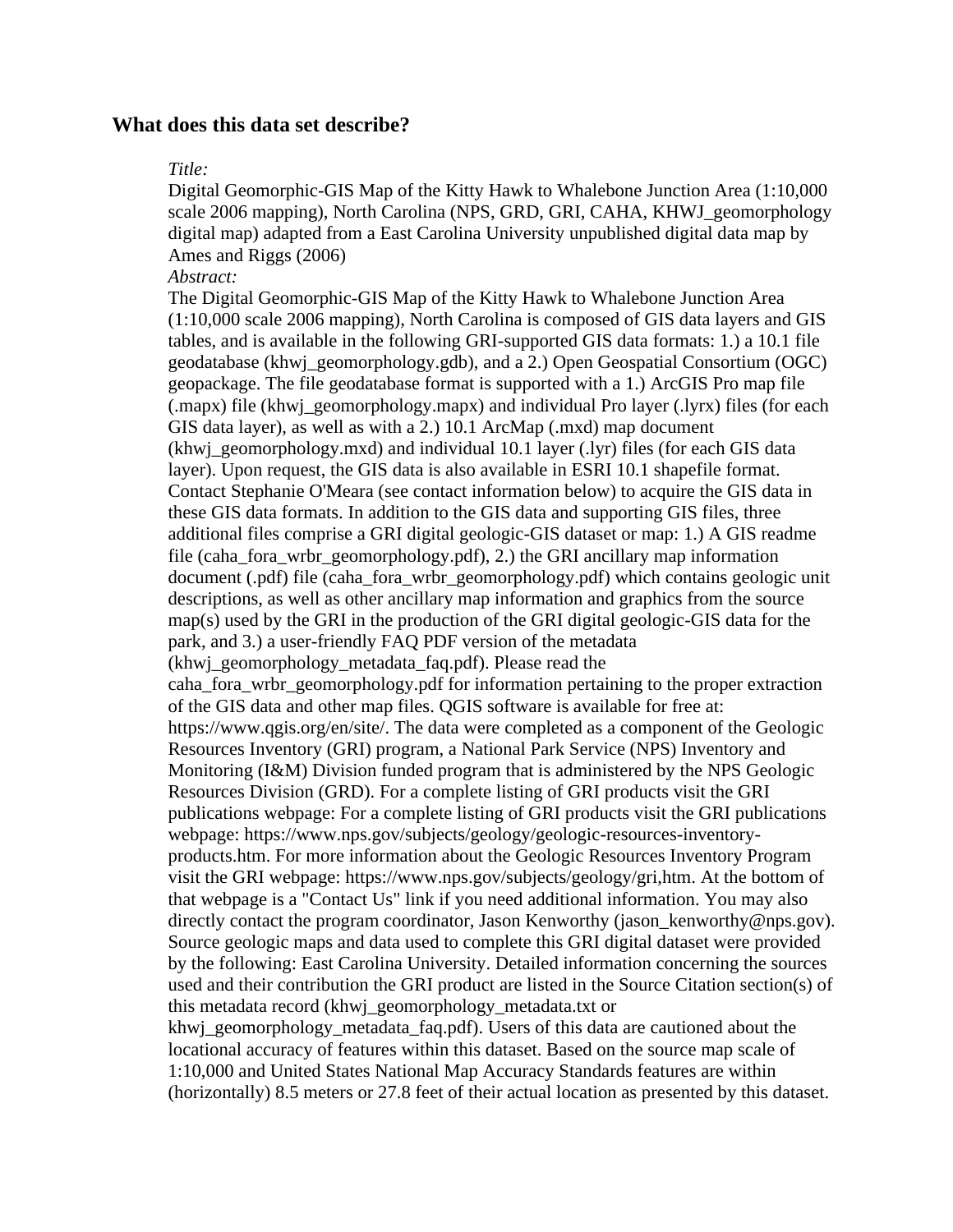## **What does this data set describe?**

#### *Title:*

Digital Geomorphic-GIS Map of the Kitty Hawk to Whalebone Junction Area (1:10,000 scale 2006 mapping), North Carolina (NPS, GRD, GRI, CAHA, KHWJ\_geomorphology digital map) adapted from a East Carolina University unpublished digital data map by Ames and Riggs (2006)

#### *Abstract:*

The Digital Geomorphic-GIS Map of the Kitty Hawk to Whalebone Junction Area (1:10,000 scale 2006 mapping), North Carolina is composed of GIS data layers and GIS tables, and is available in the following GRI-supported GIS data formats: 1.) a 10.1 file geodatabase (khwj\_geomorphology.gdb), and a 2.) Open Geospatial Consortium (OGC) geopackage. The file geodatabase format is supported with a 1.) ArcGIS Pro map file (.mapx) file (khwj\_geomorphology.mapx) and individual Pro layer (.lyrx) files (for each GIS data layer), as well as with a 2.) 10.1 ArcMap (.mxd) map document (khwj\_geomorphology.mxd) and individual 10.1 layer (.lyr) files (for each GIS data layer). Upon request, the GIS data is also available in ESRI 10.1 shapefile format. Contact Stephanie O'Meara (see contact information below) to acquire the GIS data in these GIS data formats. In addition to the GIS data and supporting GIS files, three additional files comprise a GRI digital geologic-GIS dataset or map: 1.) A GIS readme file (caha\_fora\_wrbr\_geomorphology.pdf), 2.) the GRI ancillary map information document (.pdf) file (caha\_fora\_wrbr\_geomorphology.pdf) which contains geologic unit descriptions, as well as other ancillary map information and graphics from the source map(s) used by the GRI in the production of the GRI digital geologic-GIS data for the park, and 3.) a user-friendly FAQ PDF version of the metadata (khwj\_geomorphology\_metadata\_faq.pdf). Please read the caha\_fora\_wrbr\_geomorphology.pdf for information pertaining to the proper extraction of the GIS data and other map files. QGIS software is available for free at: https://www.qgis.org/en/site/. The data were completed as a component of the Geologic Resources Inventory (GRI) program, a National Park Service (NPS) Inventory and Monitoring (I&M) Division funded program that is administered by the NPS Geologic Resources Division (GRD). For a complete listing of GRI products visit the GRI publications webpage: For a complete listing of GRI products visit the GRI publications webpage: https://www.nps.gov/subjects/geology/geologic-resources-inventoryproducts.htm. For more information about the Geologic Resources Inventory Program visit the GRI webpage: https://www.nps.gov/subjects/geology/gri,htm. At the bottom of that webpage is a "Contact Us" link if you need additional information. You may also directly contact the program coordinator, Jason Kenworthy (jason\_kenworthy@nps.gov). Source geologic maps and data used to complete this GRI digital dataset were provided by the following: East Carolina University. Detailed information concerning the sources used and their contribution the GRI product are listed in the Source Citation section(s) of this metadata record (khwj\_geomorphology\_metadata.txt or khwj\_geomorphology\_metadata\_faq.pdf). Users of this data are cautioned about the locational accuracy of features within this dataset. Based on the source map scale of 1:10,000 and United States National Map Accuracy Standards features are within (horizontally) 8.5 meters or 27.8 feet of their actual location as presented by this dataset.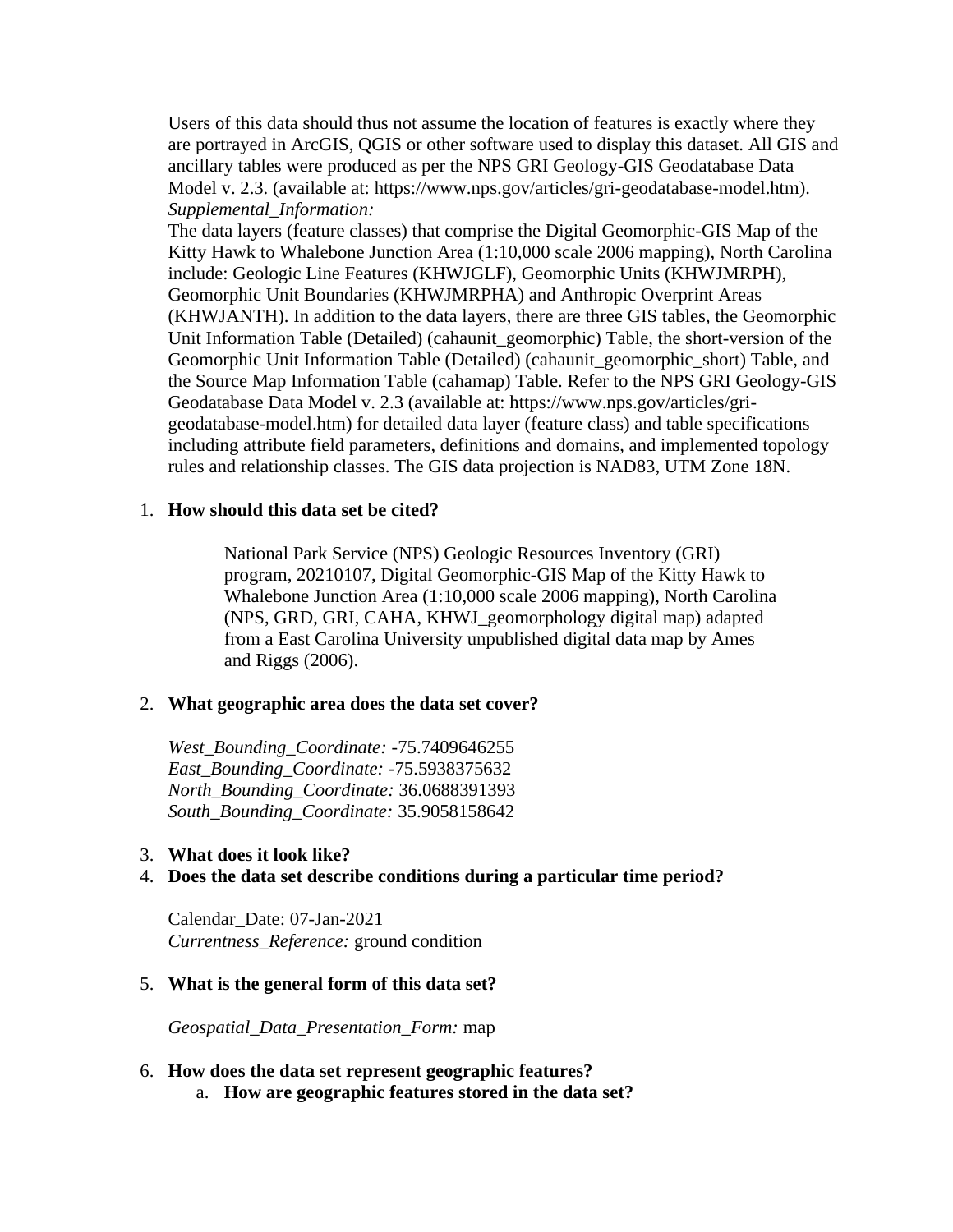Users of this data should thus not assume the location of features is exactly where they are portrayed in ArcGIS, QGIS or other software used to display this dataset. All GIS and ancillary tables were produced as per the NPS GRI Geology-GIS Geodatabase Data Model v. 2.3. (available at: https://www.nps.gov/articles/gri-geodatabase-model.htm). *Supplemental\_Information:*

The data layers (feature classes) that comprise the Digital Geomorphic-GIS Map of the Kitty Hawk to Whalebone Junction Area (1:10,000 scale 2006 mapping), North Carolina include: Geologic Line Features (KHWJGLF), Geomorphic Units (KHWJMRPH), Geomorphic Unit Boundaries (KHWJMRPHA) and Anthropic Overprint Areas (KHWJANTH). In addition to the data layers, there are three GIS tables, the Geomorphic Unit Information Table (Detailed) (cahaunit\_geomorphic) Table, the short-version of the Geomorphic Unit Information Table (Detailed) (cahaunit\_geomorphic\_short) Table, and the Source Map Information Table (cahamap) Table. Refer to the NPS GRI Geology-GIS Geodatabase Data Model v. 2.3 (available at: https://www.nps.gov/articles/grigeodatabase-model.htm) for detailed data layer (feature class) and table specifications including attribute field parameters, definitions and domains, and implemented topology rules and relationship classes. The GIS data projection is NAD83, UTM Zone 18N.

#### <span id="page-2-0"></span>1. **How should this data set be cited?**

National Park Service (NPS) Geologic Resources Inventory (GRI) program, 20210107, Digital Geomorphic-GIS Map of the Kitty Hawk to Whalebone Junction Area (1:10,000 scale 2006 mapping), North Carolina (NPS, GRD, GRI, CAHA, KHWJ\_geomorphology digital map) adapted from a East Carolina University unpublished digital data map by Ames and Riggs (2006).

#### <span id="page-2-1"></span>2. **What geographic area does the data set cover?**

*West\_Bounding\_Coordinate:* -75.7409646255 *East\_Bounding\_Coordinate:* -75.5938375632 *North\_Bounding\_Coordinate:* 36.0688391393 *South\_Bounding\_Coordinate:* 35.9058158642

#### <span id="page-2-2"></span>3. **What does it look like?**

## <span id="page-2-3"></span>4. **Does the data set describe conditions during a particular time period?**

Calendar\_Date: 07-Jan-2021 *Currentness\_Reference:* ground condition

#### <span id="page-2-4"></span>5. **What is the general form of this data set?**

*Geospatial\_Data\_Presentation\_Form:* map

#### <span id="page-2-5"></span>6. **How does the data set represent geographic features?**

a. **How are geographic features stored in the data set?**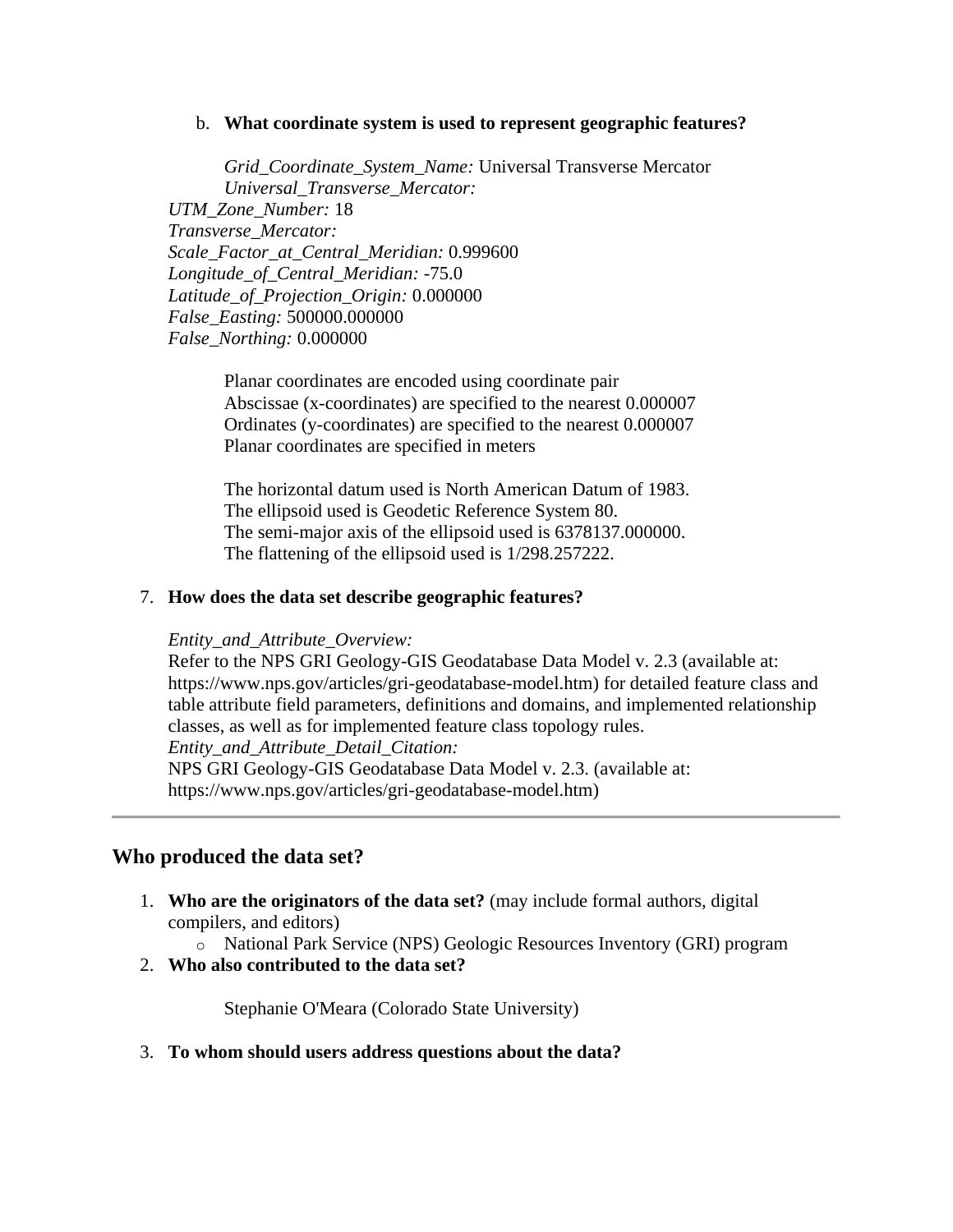#### b. **What coordinate system is used to represent geographic features?**

*Grid\_Coordinate\_System\_Name:* Universal Transverse Mercator *Universal\_Transverse\_Mercator: UTM\_Zone\_Number:* 18 *Transverse\_Mercator: Scale\_Factor\_at\_Central\_Meridian:* 0.999600 *Longitude\_of\_Central\_Meridian:* -75.0 *Latitude\_of\_Projection\_Origin:* 0.000000 *False\_Easting:* 500000.000000 *False\_Northing:* 0.000000

Planar coordinates are encoded using coordinate pair Abscissae (x-coordinates) are specified to the nearest 0.000007 Ordinates (y-coordinates) are specified to the nearest 0.000007 Planar coordinates are specified in meters

The horizontal datum used is North American Datum of 1983. The ellipsoid used is Geodetic Reference System 80. The semi-major axis of the ellipsoid used is 6378137.000000. The flattening of the ellipsoid used is 1/298.257222.

#### <span id="page-3-0"></span>7. **How does the data set describe geographic features?**

#### *Entity\_and\_Attribute\_Overview:*

Refer to the NPS GRI Geology-GIS Geodatabase Data Model v. 2.3 (available at: https://www.nps.gov/articles/gri-geodatabase-model.htm) for detailed feature class and table attribute field parameters, definitions and domains, and implemented relationship classes, as well as for implemented feature class topology rules.

*Entity\_and\_Attribute\_Detail\_Citation:*

NPS GRI Geology-GIS Geodatabase Data Model v. 2.3. (available at: https://www.nps.gov/articles/gri-geodatabase-model.htm)

## <span id="page-3-1"></span>**Who produced the data set?**

<span id="page-3-2"></span>1. **Who are the originators of the data set?** (may include formal authors, digital compilers, and editors)

o National Park Service (NPS) Geologic Resources Inventory (GRI) program

<span id="page-3-3"></span>2. **Who also contributed to the data set?**

Stephanie O'Meara (Colorado State University)

<span id="page-3-4"></span>3. **To whom should users address questions about the data?**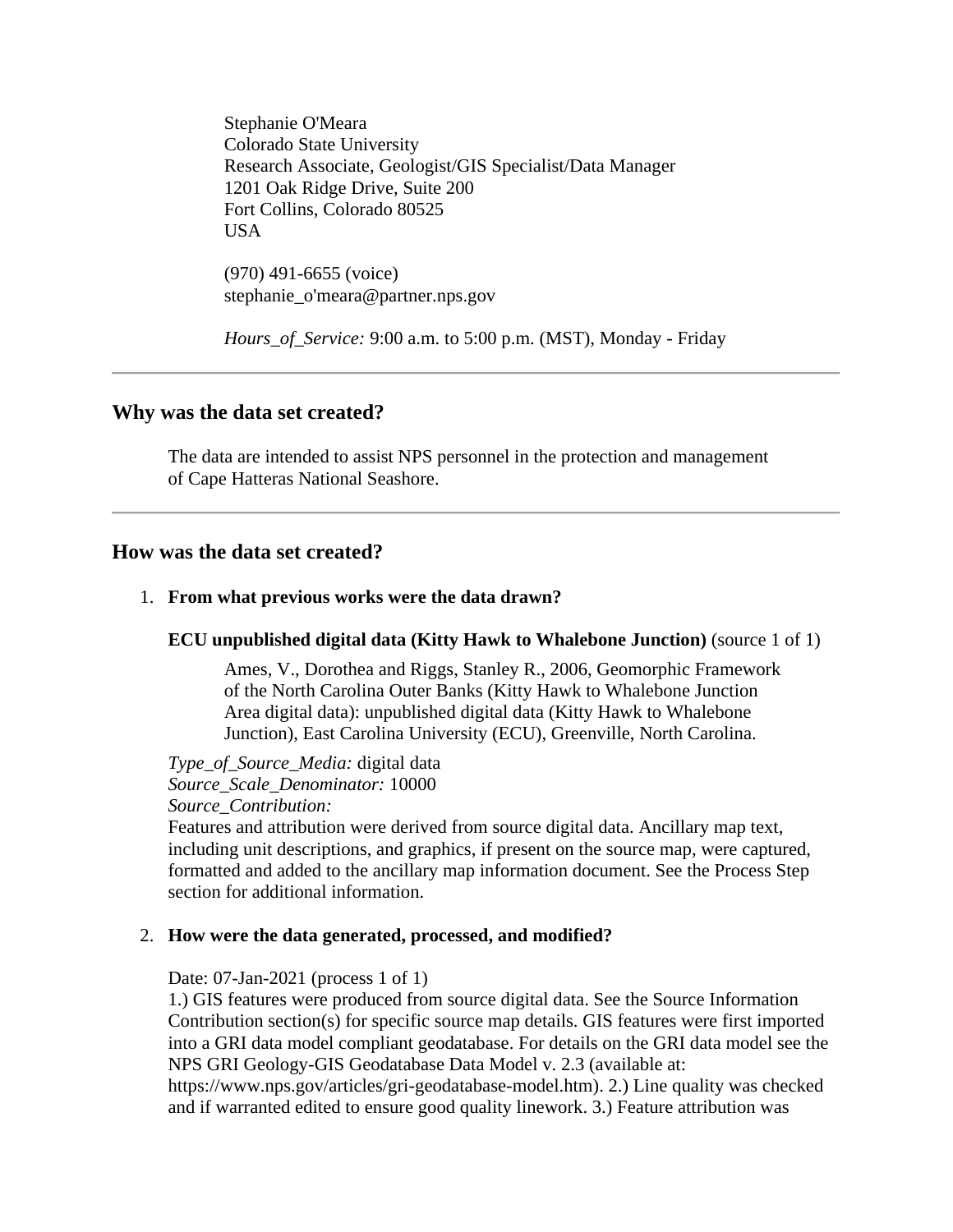Stephanie O'Meara Colorado State University Research Associate, Geologist/GIS Specialist/Data Manager 1201 Oak Ridge Drive, Suite 200 Fort Collins, Colorado 80525 USA

(970) 491-6655 (voice) stephanie\_o'meara@partner.nps.gov

*Hours\_of\_Service:* 9:00 a.m. to 5:00 p.m. (MST), Monday - Friday

## <span id="page-4-0"></span>**Why was the data set created?**

The data are intended to assist NPS personnel in the protection and management of Cape Hatteras National Seashore.

## <span id="page-4-1"></span>**How was the data set created?**

## <span id="page-4-2"></span>1. **From what previous works were the data drawn?**

#### **ECU unpublished digital data (Kitty Hawk to Whalebone Junction)** (source 1 of 1)

Ames, V., Dorothea and Riggs, Stanley R., 2006, Geomorphic Framework of the North Carolina Outer Banks (Kitty Hawk to Whalebone Junction Area digital data): unpublished digital data (Kitty Hawk to Whalebone Junction), East Carolina University (ECU), Greenville, North Carolina.

*Type\_of\_Source\_Media:* digital data *Source\_Scale\_Denominator:* 10000 *Source\_Contribution:*

Features and attribution were derived from source digital data. Ancillary map text, including unit descriptions, and graphics, if present on the source map, were captured, formatted and added to the ancillary map information document. See the Process Step section for additional information.

## <span id="page-4-3"></span>2. **How were the data generated, processed, and modified?**

Date: 07-Jan-2021 (process 1 of 1)

1.) GIS features were produced from source digital data. See the Source Information Contribution section(s) for specific source map details. GIS features were first imported into a GRI data model compliant geodatabase. For details on the GRI data model see the NPS GRI Geology-GIS Geodatabase Data Model v. 2.3 (available at:

https://www.nps.gov/articles/gri-geodatabase-model.htm). 2.) Line quality was checked and if warranted edited to ensure good quality linework. 3.) Feature attribution was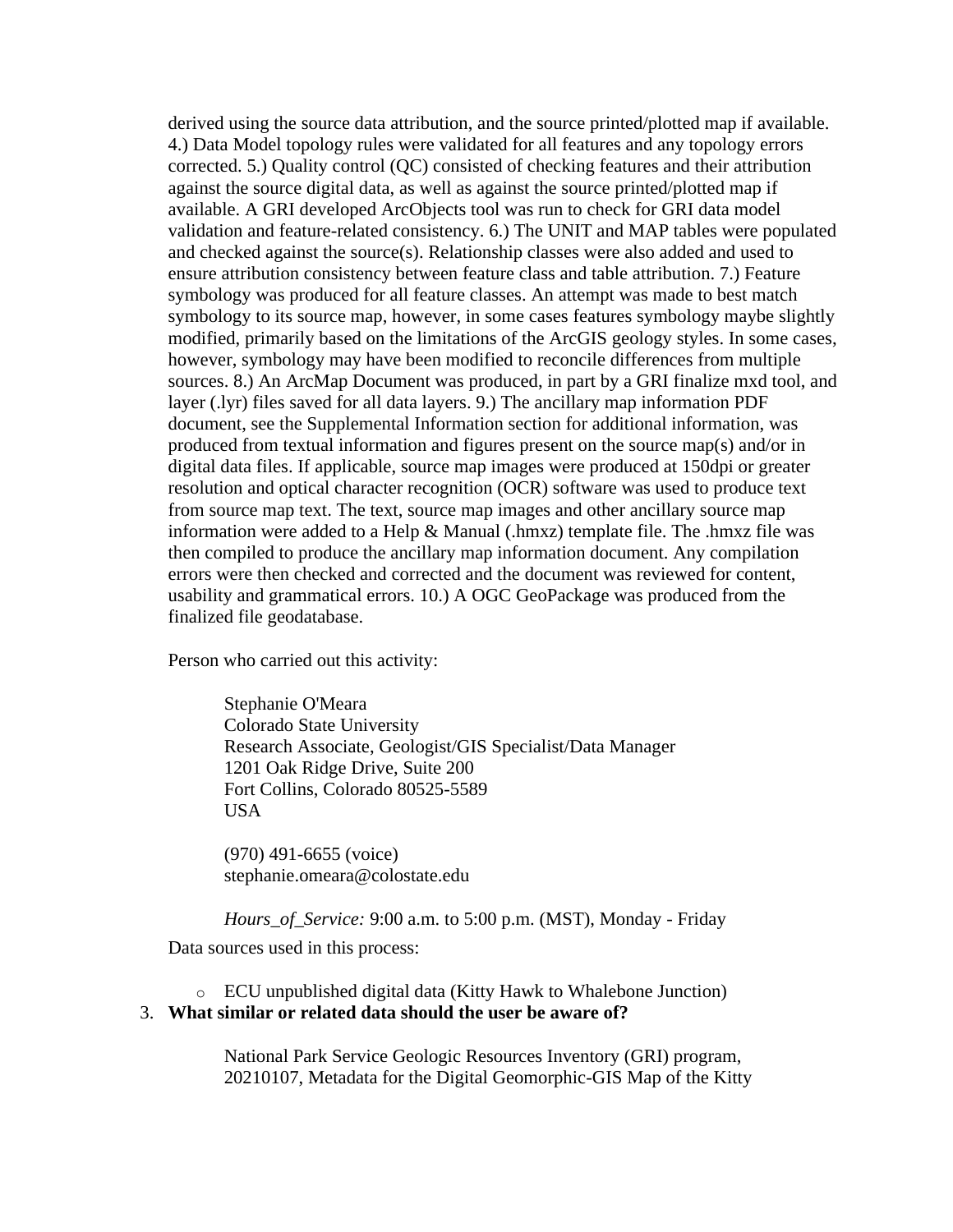derived using the source data attribution, and the source printed/plotted map if available. 4.) Data Model topology rules were validated for all features and any topology errors corrected. 5.) Quality control (QC) consisted of checking features and their attribution against the source digital data, as well as against the source printed/plotted map if available. A GRI developed ArcObjects tool was run to check for GRI data model validation and feature-related consistency. 6.) The UNIT and MAP tables were populated and checked against the source(s). Relationship classes were also added and used to ensure attribution consistency between feature class and table attribution. 7.) Feature symbology was produced for all feature classes. An attempt was made to best match symbology to its source map, however, in some cases features symbology maybe slightly modified, primarily based on the limitations of the ArcGIS geology styles. In some cases, however, symbology may have been modified to reconcile differences from multiple sources. 8.) An ArcMap Document was produced, in part by a GRI finalize mxd tool, and layer (.lyr) files saved for all data layers. 9.) The ancillary map information PDF document, see the Supplemental Information section for additional information, was produced from textual information and figures present on the source map(s) and/or in digital data files. If applicable, source map images were produced at 150dpi or greater resolution and optical character recognition (OCR) software was used to produce text from source map text. The text, source map images and other ancillary source map information were added to a Help & Manual (.hmxz) template file. The .hmxz file was then compiled to produce the ancillary map information document. Any compilation errors were then checked and corrected and the document was reviewed for content, usability and grammatical errors. 10.) A OGC GeoPackage was produced from the finalized file geodatabase.

Person who carried out this activity:

Stephanie O'Meara Colorado State University Research Associate, Geologist/GIS Specialist/Data Manager 1201 Oak Ridge Drive, Suite 200 Fort Collins, Colorado 80525-5589 USA

(970) 491-6655 (voice) stephanie.omeara@colostate.edu

*Hours\_of\_Service:* 9:00 a.m. to 5:00 p.m. (MST), Monday - Friday

Data sources used in this process:

o ECU unpublished digital data (Kitty Hawk to Whalebone Junction)

#### <span id="page-5-0"></span>3. **What similar or related data should the user be aware of?**

National Park Service Geologic Resources Inventory (GRI) program, 20210107, Metadata for the Digital Geomorphic-GIS Map of the Kitty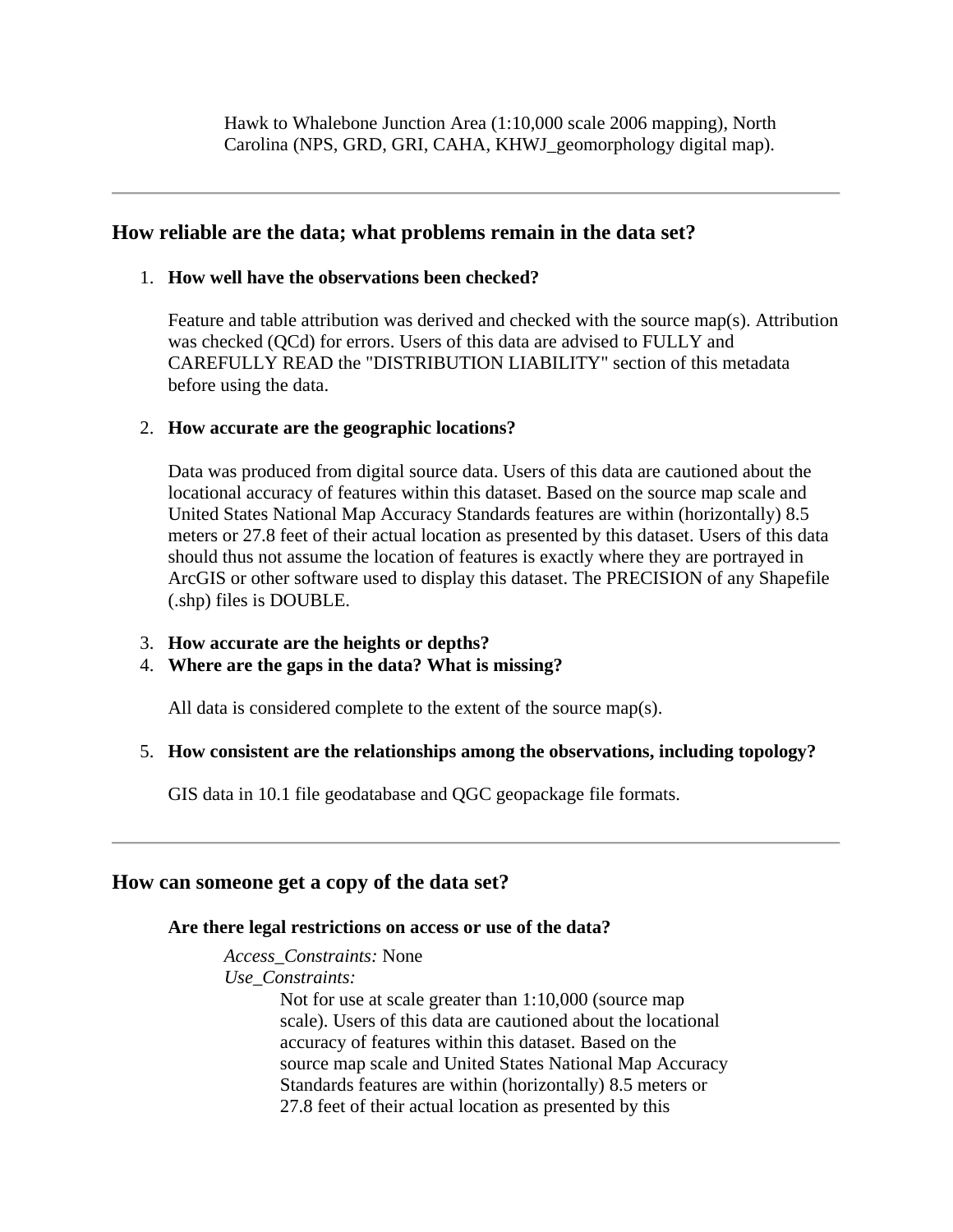Hawk to Whalebone Junction Area (1:10,000 scale 2006 mapping), North Carolina (NPS, GRD, GRI, CAHA, KHWJ\_geomorphology digital map).

## <span id="page-6-0"></span>**How reliable are the data; what problems remain in the data set?**

## <span id="page-6-1"></span>1. **How well have the observations been checked?**

Feature and table attribution was derived and checked with the source map(s). Attribution was checked (QCd) for errors. Users of this data are advised to FULLY and CAREFULLY READ the "DISTRIBUTION LIABILITY" section of this metadata before using the data.

## <span id="page-6-2"></span>2. **How accurate are the geographic locations?**

Data was produced from digital source data. Users of this data are cautioned about the locational accuracy of features within this dataset. Based on the source map scale and United States National Map Accuracy Standards features are within (horizontally) 8.5 meters or 27.8 feet of their actual location as presented by this dataset. Users of this data should thus not assume the location of features is exactly where they are portrayed in ArcGIS or other software used to display this dataset. The PRECISION of any Shapefile (.shp) files is DOUBLE.

<span id="page-6-3"></span>3. **How accurate are the heights or depths?**

## <span id="page-6-4"></span>4. **Where are the gaps in the data? What is missing?**

All data is considered complete to the extent of the source map(s).

## <span id="page-6-5"></span>5. **How consistent are the relationships among the observations, including topology?**

GIS data in 10.1 file geodatabase and QGC geopackage file formats.

## <span id="page-6-7"></span><span id="page-6-6"></span>**How can someone get a copy of the data set?**

## **Are there legal restrictions on access or use of the data?**

*Access\_Constraints:* None *Use\_Constraints:* Not for use at scale greater than 1:10,000 (source map

scale). Users of this data are cautioned about the locational accuracy of features within this dataset. Based on the source map scale and United States National Map Accuracy Standards features are within (horizontally) 8.5 meters or 27.8 feet of their actual location as presented by this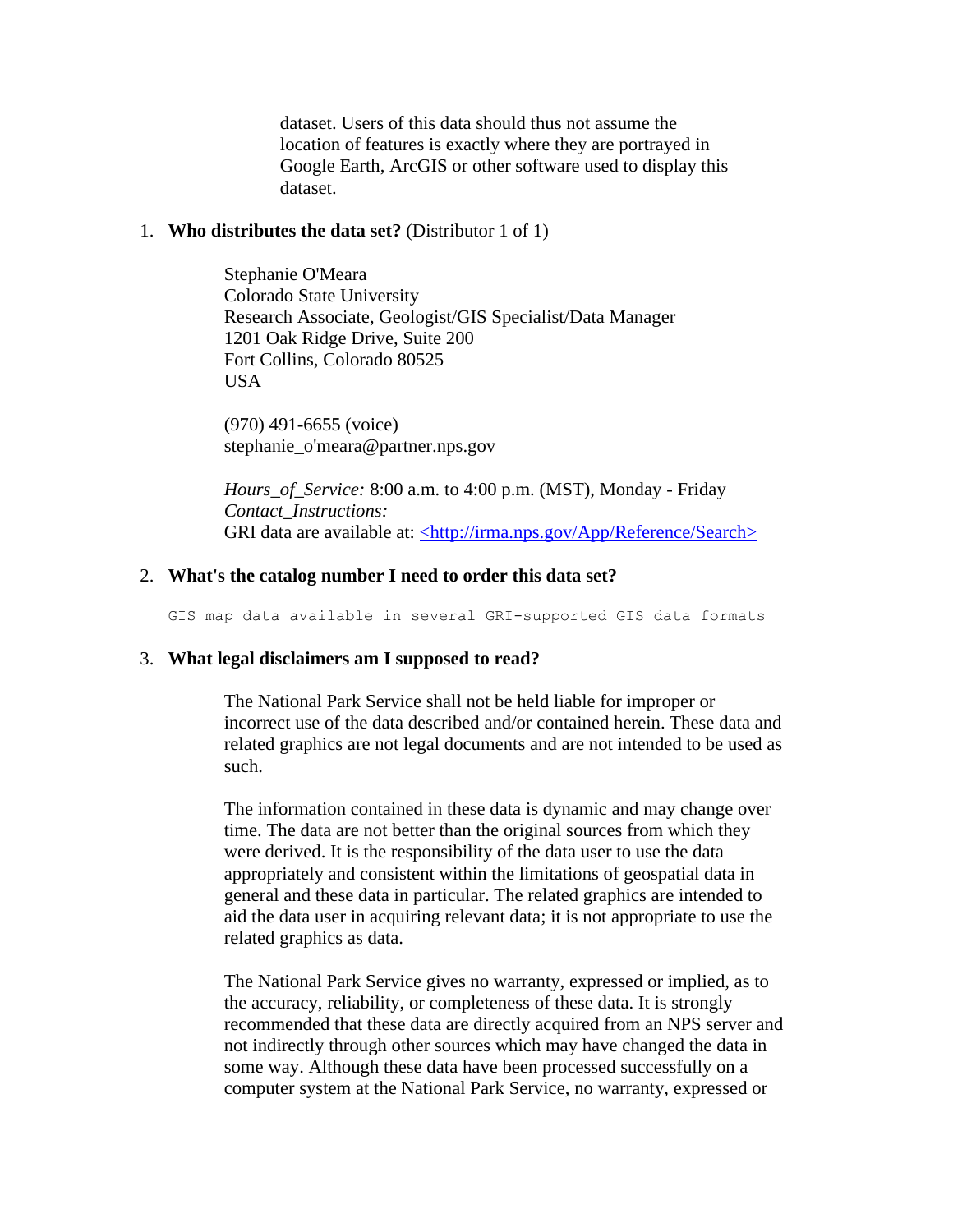dataset. Users of this data should thus not assume the location of features is exactly where they are portrayed in Google Earth, ArcGIS or other software used to display this dataset.

#### <span id="page-7-0"></span>1. **Who distributes the data set?** (Distributor 1 of 1)

Stephanie O'Meara Colorado State University Research Associate, Geologist/GIS Specialist/Data Manager 1201 Oak Ridge Drive, Suite 200 Fort Collins, Colorado 80525 **USA** 

(970) 491-6655 (voice) stephanie\_o'meara@partner.nps.gov

*Hours\_of\_Service:* 8:00 a.m. to 4:00 p.m. (MST), Monday - Friday *Contact\_Instructions:* GRI data are available at: [<http://irma.nps.gov/App/Reference/Search>](http://irma.nps.gov/App/Reference/Search)

#### <span id="page-7-1"></span>2. **What's the catalog number I need to order this data set?**

GIS map data available in several GRI-supported GIS data formats

#### <span id="page-7-2"></span>3. **What legal disclaimers am I supposed to read?**

The National Park Service shall not be held liable for improper or incorrect use of the data described and/or contained herein. These data and related graphics are not legal documents and are not intended to be used as such.

The information contained in these data is dynamic and may change over time. The data are not better than the original sources from which they were derived. It is the responsibility of the data user to use the data appropriately and consistent within the limitations of geospatial data in general and these data in particular. The related graphics are intended to aid the data user in acquiring relevant data; it is not appropriate to use the related graphics as data.

The National Park Service gives no warranty, expressed or implied, as to the accuracy, reliability, or completeness of these data. It is strongly recommended that these data are directly acquired from an NPS server and not indirectly through other sources which may have changed the data in some way. Although these data have been processed successfully on a computer system at the National Park Service, no warranty, expressed or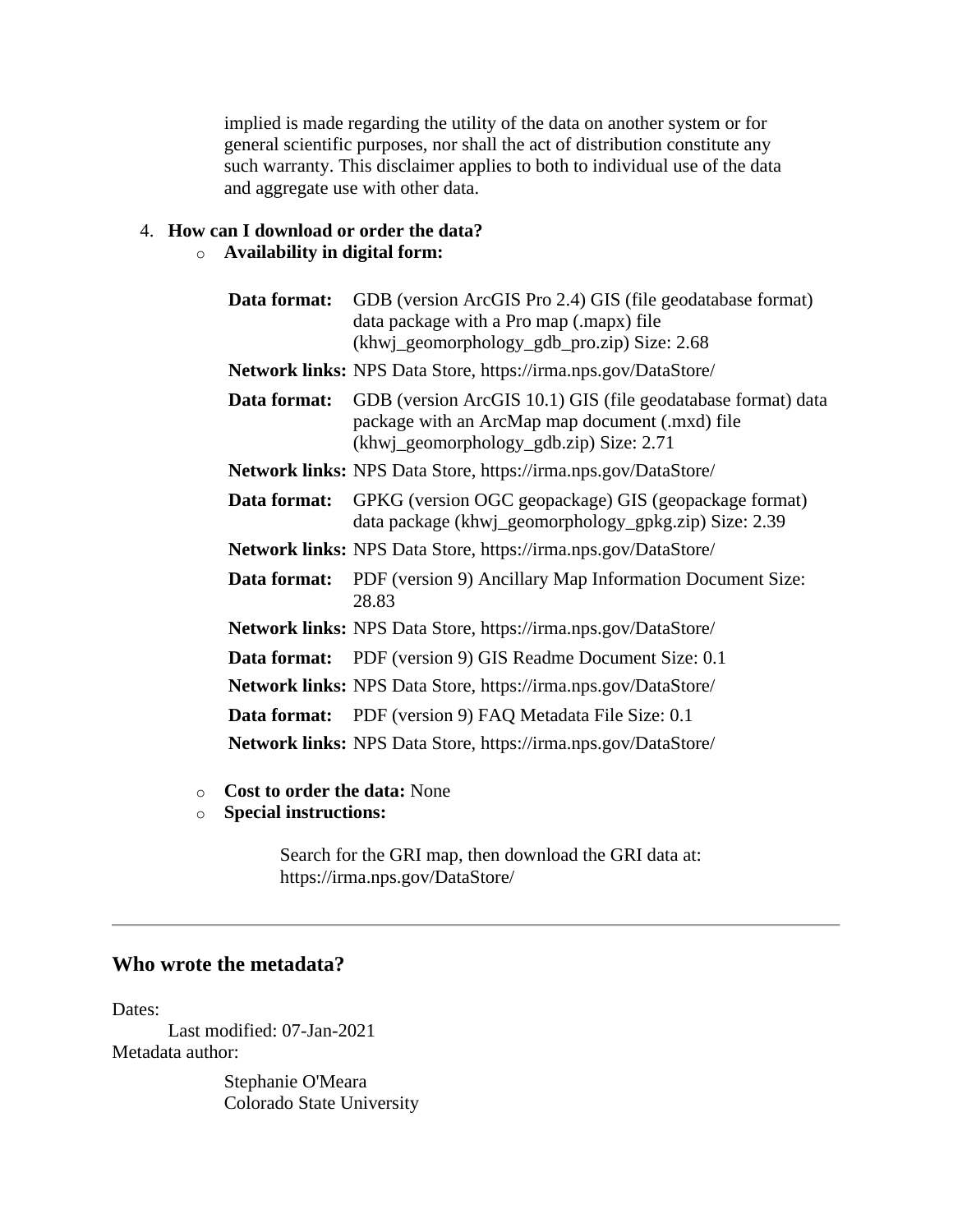implied is made regarding the utility of the data on another system or for general scientific purposes, nor shall the act of distribution constitute any such warranty. This disclaimer applies to both to individual use of the data and aggregate use with other data.

## <span id="page-8-0"></span>4. **How can I download or order the data?**

## o **Availability in digital form:**

|              | <b>Data format:</b> GDB (version ArcGIS Pro 2.4) GIS (file geodatabase format)<br>data package with a Pro map (.mapx) file<br>(khwj_geomorphology_gdb_pro.zip) Size: 2.68 |
|--------------|---------------------------------------------------------------------------------------------------------------------------------------------------------------------------|
|              | <b>Network links:</b> NPS Data Store, https://irma.nps.gov/DataStore/                                                                                                     |
| Data format: | GDB (version ArcGIS 10.1) GIS (file geodatabase format) data<br>package with an ArcMap map document (.mxd) file<br>(khwj_geomorphology_gdb.zip) Size: 2.71                |
|              | <b>Network links:</b> NPS Data Store, https://irma.nps.gov/DataStore/                                                                                                     |
| Data format: | GPKG (version OGC geopackage) GIS (geopackage format)<br>data package (khwj_geomorphology_gpkg.zip) Size: 2.39                                                            |
|              | <b>Network links:</b> NPS Data Store, https://irma.nps.gov/DataStore/                                                                                                     |
|              | <b>Data format:</b> PDF (version 9) Ancillary Map Information Document Size:<br>28.83                                                                                     |
|              | <b>Network links:</b> NPS Data Store, https://irma.nps.gov/DataStore/                                                                                                     |
|              | <b>Data format:</b> PDF (version 9) GIS Readme Document Size: 0.1                                                                                                         |
|              | <b>Network links:</b> NPS Data Store, https://irma.nps.gov/DataStore/                                                                                                     |
|              | <b>Data format:</b> PDF (version 9) FAQ Metadata File Size: 0.1                                                                                                           |
|              | <b>Network links:</b> NPS Data Store, https://irma.nps.gov/DataStore/                                                                                                     |

- o **Cost to order the data:** None
- o **Special instructions:**

Search for the GRI map, then download the GRI data at: https://irma.nps.gov/DataStore/

# <span id="page-8-1"></span>**Who wrote the metadata?**

Dates:

Last modified: 07-Jan-2021 Metadata author:

> Stephanie O'Meara Colorado State University